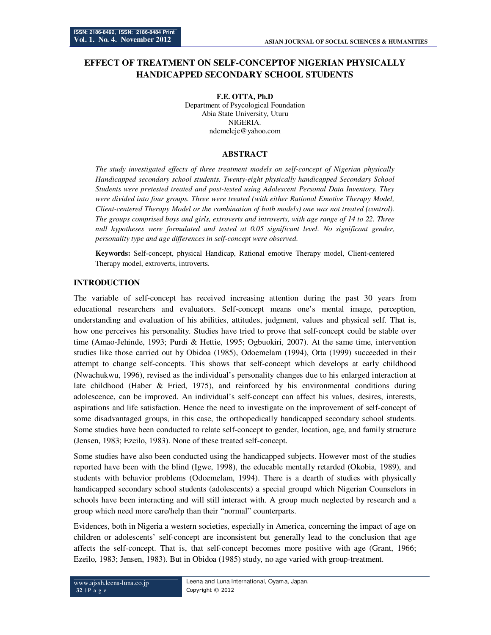# **EFFECT OF TREATMENT ON SELF-CONCEPTOF NIGERIAN PHYSICALLY HANDICAPPED SECONDARY SCHOOL STUDENTS**

**F.E. OTTA, Ph.D**  Department of Psycological Foundation Abia State University, Uturu NIGERIA. ndemeleje@yahoo.com

#### **ABSTRACT**

*The study investigated effects of three treatment models on self-concept of Nigerian physically Handicapped secondary school students. Twenty-eight physically handicapped Secondary School Students were pretested treated and post-tested using Adolescent Personal Data Inventory. They were divided into four groups. Three were treated (with either Rational Emotive Therapy Model, Client-centered Therapy Model or the combination of both models) one was not treated (control). The groups comprised boys and girls, extroverts and introverts, with age range of 14 to 22. Three null hypotheses were formulated and tested at 0.05 significant level. No significant gender, personality type and age differences in self-concept were observed.* 

**Keywords:** Self-concept, physical Handicap, Rational emotive Therapy model, Client-centered Therapy model, extroverts, introverts.

#### **INTRODUCTION**

The variable of self-concept has received increasing attention during the past 30 years from educational researchers and evaluators. Self-concept means one's mental image, perception, understanding and evaluation of his abilities, attitudes, judgment, values and physical self. That is, how one perceives his personality. Studies have tried to prove that self-concept could be stable over time (Amao-Jehinde, 1993; Purdi & Hettie, 1995; Ogbuokiri, 2007). At the same time, intervention studies like those carried out by Obidoa (1985), Odoemelam (1994), Otta (1999) succeeded in their attempt to change self-concepts. This shows that self-concept which develops at early childhood (Nwachukwu, 1996), revised as the individual's personality changes due to his enlarged interaction at late childhood (Haber & Fried, 1975), and reinforced by his environmental conditions during adolescence, can be improved. An individual's self-concept can affect his values, desires, interests, aspirations and life satisfaction. Hence the need to investigate on the improvement of self-concept of some disadvantaged groups, in this case, the orthopedically handicapped secondary school students. Some studies have been conducted to relate self-concept to gender, location, age, and family structure (Jensen, 1983; Ezeilo, 1983). None of these treated self-concept.

Some studies have also been conducted using the handicapped subjects. However most of the studies reported have been with the blind (Igwe, 1998), the educable mentally retarded (Okobia, 1989), and students with behavior problems (Odoemelam, 1994). There is a dearth of studies with physically handicapped secondary school students (adolescents) a special groupd which Nigerian Counselors in schools have been interacting and will still interact with. A group much neglected by research and a group which need more care/help than their "normal" counterparts.

Evidences, both in Nigeria a western societies, especially in America, concerning the impact of age on children or adolescents' self-concept are inconsistent but generally lead to the conclusion that age affects the self-concept. That is, that self-concept becomes more positive with age (Grant, 1966; Ezeilo, 1983; Jensen, 1983). But in Obidoa (1985) study, no age varied with group-treatment.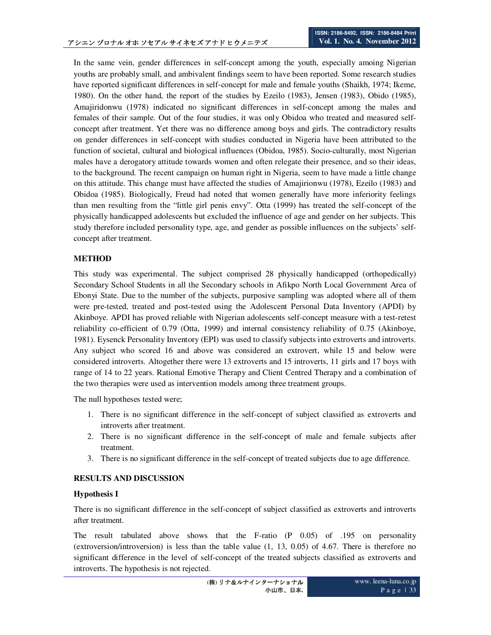In the same vein, gender differences in self-concept among the youth, especially amoing Nigerian youths are probably small, and ambivalent findings seem to have been reported. Some research studies have reported significant differences in self-concept for male and female youths (Shaikh, 1974; Ikeme, 1980). On the other hand, the report of the studies by Ezeilo (1983), Jensen (1983), Obido (1985), Amajiridonwu (1978) indicated no significant differences in self-concept among the males and females of their sample. Out of the four studies, it was only Obidoa who treated and measured selfconcept after treatment. Yet there was no difference among boys and girls. The contradictory results on gender differences in self-concept with studies conducted in Nigeria have been attributed to the function of societal, cultural and biological influences (Obidoa, 1985). Socio-culturally, most Nigerian males have a derogatory attitude towards women and often relegate their presence, and so their ideas, to the background. The recent campaign on human right in Nigeria, seem to have made a little change on this attitude. This change must have affected the studies of Amajirionwu (1978), Ezeilo (1983) and Obidoa (1985). Biologically, Freud had noted that women generally have more inferiority feelings than men resulting from the "little girl penis envy". Otta (1999) has treated the self-concept of the physically handicapped adolescents but excluded the influence of age and gender on her subjects. This study therefore included personality type, age, and gender as possible influences on the subjects' selfconcept after treatment.

# **METHOD**

This study was experimental. The subject comprised 28 physically handicapped (orthopedically) Secondary School Students in all the Secondary schools in Afikpo North Local Government Area of Ebonyi State. Due to the number of the subjects, purposive sampling was adopted where all of them were pre-tested, treated and post-tested using the Adolescent Personal Data Inventory (APDI) by Akinboye. APDI has proved reliable with Nigerian adolescents self-concept measure with a test-retest reliability co-efficient of 0.79 (Otta, 1999) and internal consistency reliability of 0.75 (Akinboye, 1981). Eysenck Personality Inventory (EPI) was used to classify subjects into extroverts and introverts. Any subject who scored 16 and above was considered an extrovert, while 15 and below were considered introverts. Altogether there were 13 extroverts and 15 introverts, 11 girls and 17 boys with range of 14 to 22 years. Rational Emotive Therapy and Client Centred Therapy and a combination of the two therapies were used as intervention models among three treatment groups.

The null hypotheses tested were;

- 1. There is no significant difference in the self-concept of subject classified as extroverts and introverts after treatment.
- 2. There is no significant difference in the self-concept of male and female subjects after treatment.
- 3. There is no significant difference in the self-concept of treated subjects due to age difference.

## **RESULTS AND DISCUSSION**

## **Hypothesis I**

There is no significant difference in the self-concept of subject classified as extroverts and introverts after treatment.

The result tabulated above shows that the F-ratio (P 0.05) of .195 on personality (extroversion/introversion) is less than the table value (1, 13, 0.05) of 4.67. There is therefore no significant difference in the level of self-concept of the treated subjects classified as extroverts and introverts. The hypothesis is not rejected.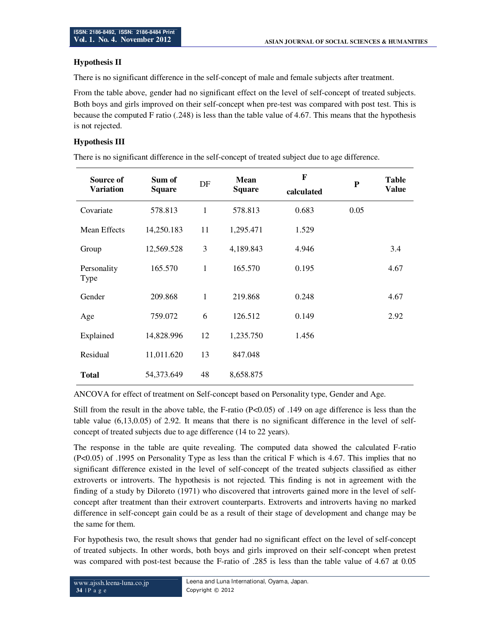### **Hypothesis II**

There is no significant difference in the self-concept of male and female subjects after treatment.

From the table above, gender had no significant effect on the level of self-concept of treated subjects. Both boys and girls improved on their self-concept when pre-test was compared with post test. This is because the computed F ratio (.248) is less than the table value of 4.67. This means that the hypothesis is not rejected.

### **Hypothesis III**

There is no significant difference in the self-concept of treated subject due to age difference.

| Source of<br><b>Variation</b> | Sum of<br><b>Square</b> | DF           | <b>Mean</b><br><b>Square</b> | $\mathbf{F}$<br>calculated | ${\bf P}$ | <b>Table</b><br><b>Value</b> |
|-------------------------------|-------------------------|--------------|------------------------------|----------------------------|-----------|------------------------------|
| Covariate                     | 578.813                 | $\mathbf{1}$ | 578.813                      | 0.683                      | 0.05      |                              |
| Mean Effects                  | 14,250.183              | 11           | 1,295.471                    | 1.529                      |           |                              |
| Group                         | 12,569.528              | 3            | 4,189.843                    | 4.946                      |           | 3.4                          |
| Personality<br>Type           | 165.570                 | $\mathbf{1}$ | 165.570                      | 0.195                      |           | 4.67                         |
| Gender                        | 209.868                 | 1            | 219.868                      | 0.248                      |           | 4.67                         |
| Age                           | 759.072                 | 6            | 126.512                      | 0.149                      |           | 2.92                         |
| Explained                     | 14,828.996              | 12           | 1,235.750                    | 1.456                      |           |                              |
| Residual                      | 11,011.620              | 13           | 847.048                      |                            |           |                              |
| <b>Total</b>                  | 54,373.649              | 48           | 8,658.875                    |                            |           |                              |

ANCOVA for effect of treatment on Self-concept based on Personality type, Gender and Age.

Still from the result in the above table, the F-ratio (P<0.05) of .149 on age difference is less than the table value (6,13,0.05) of 2.92. It means that there is no significant difference in the level of selfconcept of treated subjects due to age difference (14 to 22 years).

The response in the table are quite revealing. The computed data showed the calculated F-ratio (P<0.05) of .1995 on Personality Type as less than the critical F which is 4.67. This implies that no significant difference existed in the level of self-concept of the treated subjects classified as either extroverts or introverts. The hypothesis is not rejected. This finding is not in agreement with the finding of a study by Diloreto (1971) who discovered that introverts gained more in the level of selfconcept after treatment than their extrovert counterparts. Extroverts and introverts having no marked difference in self-concept gain could be as a result of their stage of development and change may be the same for them.

For hypothesis two, the result shows that gender had no significant effect on the level of self-concept of treated subjects. In other words, both boys and girls improved on their self-concept when pretest was compared with post-test because the F-ratio of .285 is less than the table value of 4.67 at 0.05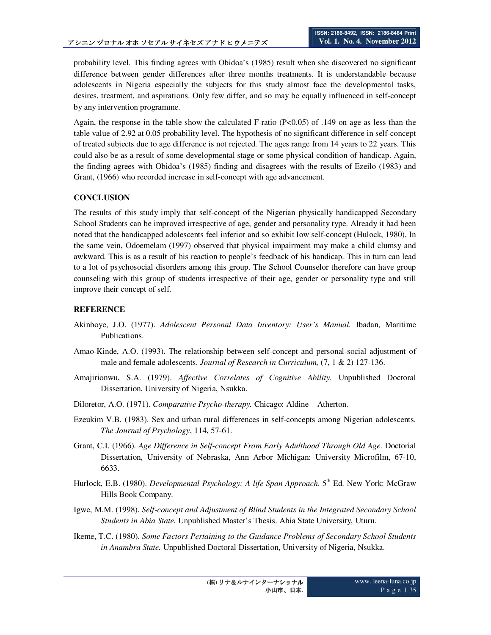probability level. This finding agrees with Obidoa's (1985) result when she discovered no significant difference between gender differences after three months treatments. It is understandable because adolescents in Nigeria especially the subjects for this study almost face the developmental tasks, desires, treatment, and aspirations. Only few differ, and so may be equally influenced in self-concept by any intervention programme.

Again, the response in the table show the calculated F-ratio (P<0.05) of .149 on age as less than the table value of 2.92 at 0.05 probability level. The hypothesis of no significant difference in self-concept of treated subjects due to age difference is not rejected. The ages range from 14 years to 22 years. This could also be as a result of some developmental stage or some physical condition of handicap. Again, the finding agrees with Obidoa's (1985) finding and disagrees with the results of Ezeilo (1983) and Grant, (1966) who recorded increase in self-concept with age advancement.

# **CONCLUSION**

The results of this study imply that self-concept of the Nigerian physically handicapped Secondary School Students can be improved irrespective of age, gender and personality type. Already it had been noted that the handicapped adolescents feel inferior and so exhibit low self-concept (Hulock, 1980), In the same vein, Odoemelam (1997) observed that physical impairment may make a child clumsy and awkward. This is as a result of his reaction to people's feedback of his handicap. This in turn can lead to a lot of psychosocial disorders among this group. The School Counselor therefore can have group counseling with this group of students irrespective of their age, gender or personality type and still improve their concept of self.

## **REFERENCE**

- Akinboye, J.O. (1977). *Adolescent Personal Data Inventory: User's Manual.* Ibadan, Maritime Publications.
- Amao-Kinde, A.O. (1993). The relationship between self-concept and personal-social adjustment of male and female adolescents. *Journal of Research in Curriculum,* (7, 1 & 2) 127-136.
- Amajirionwu, S.A. (1979). *Affective Correlates of Cognitive Ability.* Unpublished Doctoral Dissertation, University of Nigeria, Nsukka.
- Diloretor, A.O. (1971). *Comparative Psycho-therapy.* Chicago: Aldine Atherton.
- Ezeukim V.B. (1983). Sex and urban rural differences in self-concepts among Nigerian adolescents. *The Journal of Psychology*, 114, 57-61.
- Grant, C.I. (1966). *Age Difference in Self-concept From Early Adulthood Through Old Age.* Doctorial Dissertation, University of Nebraska, Ann Arbor Michigan: University Microfilm, 67-10, 6633.
- Hurlock, E.B. (1980). *Developmental Psychology: A life Span Approach.* 5<sup>th</sup> Ed. New York: McGraw Hills Book Company.
- Igwe, M.M. (1998). *Self-concept and Adjustment of Blind Students in the Integrated Secondary School Students in Abia State.* Unpublished Master's Thesis. Abia State University, Uturu.
- Ikeme, T.C. (1980). *Some Factors Pertaining to the Guidance Problems of Secondary School Students in Anambra State.* Unpublished Doctoral Dissertation, University of Nigeria, Nsukka.